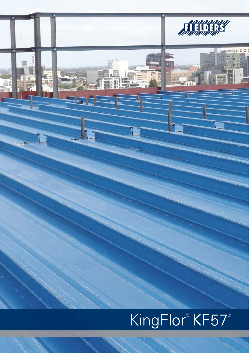



# KingFlor® KF57®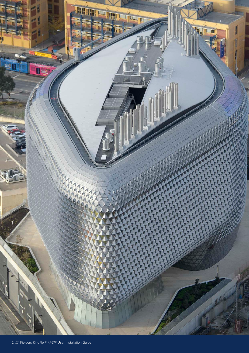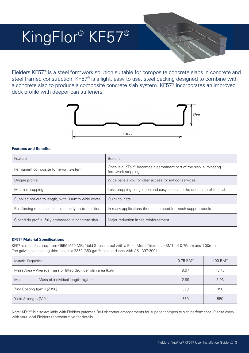# KingFlor® KF57®

Fielders KF57® is a steel formwork solution suitable for composite concrete slabs in concrete and steel framed construction. KF57® is a light, easy to use, steel decking designed to combine with a concrete slab to produce a composite concrete slab system. KF57® incorporates an improved deck profile with deeper pan stiffeners.



#### **Features and Benefits**

| Feature                                              | <b>Benefit</b>                                                                                       |
|------------------------------------------------------|------------------------------------------------------------------------------------------------------|
| Permanent composite formwork system                  | Once laid, KF57 <sup>®</sup> becomes a permanent part of the slab, eliminating<br>formwork stripping |
| Unique profile                                       | Wide pans allow for clear access for in-floor services                                               |
| Minimal propping                                     | Less propping congestion and easy access to the underside of the slab                                |
| Supplied pre-cut to length, with 300mm wide cover    | Quick to install                                                                                     |
| Reinforcing mesh can be laid directly on to the ribs | In many applications there is no need for mesh support stools                                        |
| Closed rib profile, fully embedded in concrete slab  | Major reduction in fire reinforcement                                                                |

#### **KF57<sup>®</sup> Material Specifications**

KF57 is manufactured from G550 (550 MPa Yield Stress) steel with a Base Metal Thickness (BMT) of 0.75mm and 1.00mm. The galvanised coating thickness is a Z350 (350 g/m²) in accordance with AS 1397:2001.

| <b>Material Properties</b>                                        | 0.75 BMT | 1.00 BMT |
|-------------------------------------------------------------------|----------|----------|
| Mass Area – Average mass of fitted deck per plan area ( $kg/m2$ ) | 9.97     | 13.10    |
| Mass Linear – Mass of individual length (kg/m)                    | 2.99     | 3.93     |
| Zinc Coating $(g/m2)$ (Z350)                                      | 350      | 350      |
| Yield Strength (MPa)                                              | 550      | 550      |

Note: KF57<sup>®</sup> is also available with Fielders patented Re-Lok corner embossments for superior composite slab performance. Please check with your local Fielders representative for details.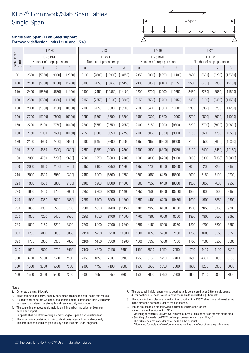## KF57® Formwork/Slab Span Tables Single Span L = Span L = Span L = Span L = Span L = Span L = Span L = Span L = Span L = Span L = Span L = Span L = Span L = Span L = Span L = Span L = Span L = Span L = Span L = Span L = Span L = Span L = Span L = Span L =

#### **Single Slab Span (L) on Steel support**

Formwork deflection limits L/130 and L/240



|                    | L/130          |                                      |                |         | L/130       |              |                                     | L/240      |                                      |              |                | L/240                               |                |              |                |                |
|--------------------|----------------|--------------------------------------|----------------|---------|-------------|--------------|-------------------------------------|------------|--------------------------------------|--------------|----------------|-------------------------------------|----------------|--------------|----------------|----------------|
| Slab Depth<br>(mm) |                | 0.75 BMT<br>Number of props per span |                |         |             |              | 1.0 BMT<br>Number of props per span |            | 0.75 BMT<br>Number of props per span |              |                | 1.0 BMT<br>Number of props per span |                |              |                |                |
|                    | $\overline{0}$ | $\mathbf{1}$                         | $\overline{2}$ | 3       | $\mathbb O$ | $\mathbf{1}$ | $\overline{2}$                      | $\sqrt{3}$ | $\boldsymbol{0}$                     | $\mathbf{1}$ | $\overline{2}$ | 3                                   | $\overline{0}$ | $\mathbf{1}$ | $\overline{2}$ | $\mathfrak{Z}$ |
| 90                 | 2550           | [5950]                               | [9000]         | [12050] | 3100        | [7800]       | [10900]                             | [14850]    | 2350                                 | [6000]       | [8350]         | [11400]                             | 2600           | [6600]       | [9200]         | [12550]        |
| 100                | 2450           | [5800]                               | [8750]         | [11700] | 3000        | [7650]       | [10650]                             | [14450]    | 2300                                 | [5850]       | [8100]         | [11050]                             | 2500           | [6400]       | [8900]         | [12150]        |
| 110                | 2400           | [5650]                               | [8550]         | [11400] | 2900        | [7450]       | [10350]                             | [14100]    | 2200                                 | [5700]       | [7900]         | [10750]                             | 2450           | [6250]       | [8650]         | [11800]        |
| 120                | 2350           | [5500]                               | [8350]         | [11150] | 2850        | [7250]       | [10100]                             | [13800]    | 2150                                 | [5550]       | [7700]         | [10450]                             | 2400           | [6100]       | [8450]         | [11500]        |
| 130                | 2300           | [5350]                               | [8150]         | [10900] | 2800        | [7050]       | [9900]                              | [13500]    | 2100                                 | [5400]       | [7500]         | [10200]                             | 2300           | [5950]       | [8250]         | [11250]        |
| 140                | 2250           | [5250]                               | [7950]         | [10650] | 2750        | [6900]       | [9700]                              | [13200]    | 2050                                 | [5300]       | [7350]         | [10000]                             | 2250           | [5800]       | [8050]         | [11000]        |
| 150                | 2200           | 5100                                 | [7750]         | [10400] | 2700        | [6750]       | [9550]                              | [12950]    | 2000                                 | 5150         | [7200]         | [9800]                              | 2200           | [5700]       | [7900]         | [10800]        |
| 160                | 2150           | 5000                                 | [7600]         | [10150] | 2650        | [6600]       | [9350]                              | [12750]    | 2000                                 | 5050         | [7050]         | [9600]                              | 2150           | 5600         | [7750]         | [10550]        |
| 170                | 2100           | 4900                                 | [7450]         | [9950]  | 2600        | [6450]       | [9200]                              | [12500]    | 1950                                 | 4950         | [6900]         | [9400]                              | 2150           | 5500         | [7600]         | [10350]        |
| 180                | 2100           | 4850                                 | [7300]         | [9800]  | 2550        | [6350]       | [9000]                              | [12300]    | 1900                                 | 4900         | [6800]         | [9250]                              | 2100           | 5400         | [7450]         | [10150]        |
| 190                | 2050           | 4750                                 | [7200]         | [9650]  | 2500        | 6250         | [8900]                              | [12100]    | 1900                                 | 4800         | [6700]         | [9100]                              | 2050           | 5300         | [7350]         | [10000]        |
| 200                | 2000           | 4650                                 | [7100]         | [9450]  | 2450        | 6100         | [8750]                              | [11900]    | 1850                                 | 4700         | 6550           | [8950]                              | 2050           | 5200         | [7250]         | [9850]         |
| 210                | 2000           | 4600                                 | 6950           | [9300]  | 2450        | 6000         | [8600]                              | [11750]    | 1800                                 | 4650         | 6450           | [8800]                              | 2000           | 5150         | 7100           | [9700]         |
| 220                | 1950           | 4500                                 | 6850           | [9150]  | 2400        | 5900         | [8500]                              | [11600]    | 1800                                 | 4550         | 6400           | [8700]                              | 1950           | 5050         | 7000           | [9550]         |
| 230                | 1900           | 4450                                 | 6750           | [9000]  | 2350        | 5800         | [8400]                              | [11400]    | 1750                                 | 4500         | 6300           | [8550]                              | 1950           | 5000         | 6900           | [9450]         |
| 240                | 1900           | 4350                                 | 6600           | [8850]  | 2350        | 5700         | 8300                                | [11300]    | 1750                                 | 4400         | 6200           | [8450]                              | 1900           | 4900         | 6850           | [9300]         |
| 250                | 1850           | 4300                                 | 6500           | 8700    | 2300        | 5650         | 8200                                | [11150]    | 1700                                 | 4350         | 6100           | 8350                                | 1900           | 4850         | 6750           | [9200]         |
| 260                | 1850           | 4250                                 | 6400           | 8550    | 2250        | 5550         | 8100                                | [11000]    | 1700                                 | 4300         | 6050           | 8250                                | 1850           | 4800         | 6650           | 9050           |
| 280                | 1800           | 4150                                 | 6200           | 8300    | 2200        | 5400         | 7900                                | [10800]    | 1650                                 | 4150         | 5900           | 8050                                | 1800           | 4700         | 6500           | 8850           |
| 300                | 1750           | 4000                                 | 6050           | 8050    | 2150        | 5250         | 7750                                | 10500      | 1600                                 | 4050         | 5750           | 7850                                | 1750           | 4600         | 6350           | 8650           |
| 320                | 1700           | 3900                                 | 5900           | 7850    | 2100        | 5100         | 7600                                | 10200      | 1600                                 | 3950         | 5650           | 7700                                | 1750           | 4500         | 6250           | 8500           |
| 340                | 1650           | 3800                                 | 5750           | 7650    | 2100        | 4950         | 7450                                | 9950       | 1550                                 | 3850         | 5550           | 7550                                | 1700           | 4400         | 6100           | 8300           |
| 360                | 3750           | 5600                                 | 7500           | 7500    | 2050        | 4850         | 7300                                | 9700       | 1550                                 | 3750         | 5450           | 7400                                | 1650           | 4300         | 6000           | 8150           |
| 380                | 1600           | 3650                                 | 5500           | 7350    | 2000        | 4750         | 7100                                | 9500       | 1500                                 | 3650         | 5350           | 7300                                | 1650           | 4250         | 5900           | 8000           |
| 400                | 1550           | 3600                                 | 5400           | 7200    | 2000        | 4650         | 6950                                | 9300       | 1500                                 | 3600         | 5250           | 7200                                | 1650           | 4150         | 5800           | 7900           |

Notes:

- 1. Concrete density: 24kN/m3 .
- 2. KF57® strength and serviceability capacities are based on full scale test results.

3. An additional concrete weight due to ponding of (0.7x deflection limit) 24.0kN/m<sup>3</sup> has been considered for Strength and serviceability limit states.

- 4. The spans in the above table include a minimum bearing width of 50mm on each end support.
- 5. Supports shall be effectively rigid and strong to support construction loads.

6. The information contained in this publication is intended for guidance only.

This information should only be use by a qualified structural engineer.

7. The practical limit for span to slab depth ratio is considered to be 35 for single spans, 40 for continuous spans. Values above these limits are listed in [ ] brackets.

8. The spans in the tables are based on the condition that KF57<sup>®</sup> sheets are fully restrained in the direction perpendicular to the sheet span.

9. Tables are based on the following maximum construction loads:

− Workmen and equipment: 1kN/m2

− Mounting of concrete: 2kN/m<sup>2</sup> over an area of 1.6m x 1.6m and zero on the rest of the area

− Stacking of material on KF57® before placement of concrete: 1kN/m2

− The table does not consider axial loads on the product

− Allowance for weight of reinforcement as well as the effect of ponding is included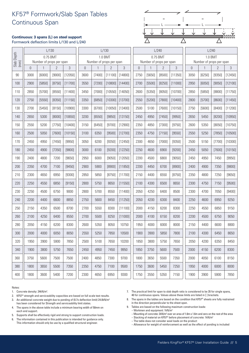## KF57® Formwork/Slab Span Tables  $\begin{array}{ccc}\n\text{Continuous Span} & \parallel & \parallel & \parallel \\
\hline\n-\text{L} & \perp & \perp\n\end{array}$

#### **Continuous: 3 spans (L) on steel support**

Formwork deflection limits L/130 and L/240



|                                                            |                |              | L/130                               |            | L/130          |              |                                      |         | L/240          |                                     |                |         | L/240          |        |              |                |
|------------------------------------------------------------|----------------|--------------|-------------------------------------|------------|----------------|--------------|--------------------------------------|---------|----------------|-------------------------------------|----------------|---------|----------------|--------|--------------|----------------|
| Slab Depth<br>0.75 BMT<br>(mm)<br>Number of props per span |                |              | 1.0 BMT<br>Number of props per span |            |                |              | 0.75 BMT<br>Number of props per span |         |                | 1.0 BMT<br>Number of props per span |                |         |                |        |              |                |
|                                                            | $\overline{0}$ | $\mathbf{1}$ | $\overline{2}$                      | $\sqrt{3}$ | $\overline{0}$ | $\mathbf{1}$ | $\overline{2}$                       | 3       | $\overline{0}$ | $\mathbf{1}$                        | $\overline{2}$ | 3       | $\overline{0}$ | 1      | $\mathbf{2}$ | $\mathfrak{Z}$ |
| 90                                                         | 3000           | [6000]       | [9000]                              | [12050]    | 3600           | [7400]       | [11100]                              | [14800] | 2750           | [5650]                              | [8500]         | [11350] | 3050           | [6250] | [9350]       | [12450]        |
| 100                                                        | 2900           | [5850]       | [8750]                              | [11700]    | 3550           | [7200]       | [10800]                              | [14400] | 2700           | [5500]                              | [8250]         | [11000] | 2950           | [6050] | [9050]       | [12100]        |
| 110                                                        | 2850           | [5700]       | [8550]                              | [11400]    | 3450           | [7000]       | [10550]                              | [14050] | 2600           | [5350]                              | [8050]         | [10700] | 2850           | [5850] | [8800]       | [11750]        |
| 120                                                        | 2750           | [5550]       | [8350]                              | [11150]    | 3350           | [6850]       | [10300]                              | [13700] | 2550           | [5200]                              | [7800]         | [10400] | 2800           | [5700] | [8600]       | [11450]        |
| 130                                                        | 2700           | [5450]       | [8150]                              | [10900]    | 3300           | [6700]       | [10050]                              | [13400] | 2500           | 5100                                | [7600]         | [10150] | 2750           | [5600] | [8400]       | [11200]        |
| 140                                                        | 2650           | 5300         | [8000]                              | [10650]    | 3200           | [6550]       | [9850]                               | [13150] | 2450           | 4950                                | [7450]         | [9950]  | 2650           | 5450   | [8200]       | [10950]        |
| 150                                                        | 2550           | 5200         | [7750]                              | [10400]    | 3150           | [6450]       | [9700]                               | [12900] | 2350           | 4850                                | [7300]         | [9750]  | 2600           | 5350   | [8050]       | [10750]        |
| 160                                                        | 2500           | 5050         | [7600]                              | [10150]    | 3100           | 6350         | [9500]                               | [12700] | 2350           | 4750                                | [7150]         | [9550]  | 2550           | 5250   | [7850]       | [10500]        |
| 170                                                        | 2450           | 4950         | [7450]                              | [9950]     | 3050           | 6200         | [9350]                               | [12450] | 2300           | 4650                                | [7000]         | [9350]  | 2500           | 5150   | [7700]       | [10300]        |
| 180                                                        | 2450           | 4900         | [7350]                              | [9800]     | 3000           | 6100         | [9200]                               | [12250] | 2250           | 4600                                | 6900           | [9200]  | 2450           | 5050   | [7600]       | [10150]        |
| 190                                                        | 2400           | 4800         | 7200                                | [9650]     | 2950           | 6000         | [9050]                               | [12050] | 2200           | 4500                                | 6800           | [9050]  | 2450           | 4950   | 7450         | [9950]         |
| 200                                                        | 2350           | 4700         | 7100                                | [9450]     | 2900           | 5900         | [8900]                               | [11850] | 2200           | 4450                                | 6700           | [8900]  | 2400           | 4900   | 7350         | [9800]         |
| 210                                                        | 2300           | 4650         | 6950                                | [9300]     | 2850           | 5850         | [8750]                               | [11700] | 2150           | 4400                                | 6550           | [8750]  | 2350           | 4800   | 7250         | [9650]         |
| 220                                                        | 2250           | 4550         | 6850                                | [9150]     | 2800           | 5750         | 8650                                 | [11550] | 2100           | 4300                                | 6500           | 8650    | 2300           | 4750   | 7150         | [9500]         |
| 230                                                        | 2250           | 4500         | 6750                                | 9000       | 2800           | 5700         | 8550                                 | [11400] | 2050           | 4250                                | 6400           | 8500    | 2300           | 4700   | 7050         | [9400]         |
| 240                                                        | 2200           | 4400         | 6600                                | 8850       | 2750           | 5600         | 8450                                 | [11250] | 2050           | 4200                                | 6300           | 8400    | 2250           | 4600   | 6950         | 9250           |
| 250                                                        | 2150           | 4350         | 6500                                | 8700       | 2700           | 5550         | 8300                                 | [11100] | 2000           | 4150                                | 6200           | 8300    | 2250           | 4550   | 6850         | 9150           |
| 260                                                        | 2100           | 4250         | 6400                                | 8550       | 2700           | 5500         | 8250                                 | [11000] | 2000           | 4100                                | 6150           | 8200    | 2200           | 4500   | 6750         | 9050           |
| 280                                                        | 2050           | 4150         | 6200                                | 8300       | 2600           | 5350         | 8050                                 | 10750   | 1950           | 4000                                | 6000           | 8000    | 2150           | 4400   | 6600         | 8800           |
| 300                                                        | 2000           | 4000         | 6050                                | 8050       | 2550           | 5250         | 7850                                 | 10500   | 1900           | 3900                                | 5850           | 7800    | 2100           | 4300   | 6450         | 8650           |
| 320                                                        | 1950           | 3900         | 5900                                | 7850       | 2500           | 5100         | 7650                                 | 10200   | 1850           | 3800                                | 5750           | 7650    | 2050           | 4200   | 6350         | 8450           |
| 340                                                        | 1900           | 3800         | 5750                                | 7650       | 2450           | 4950         | 7450                                 | 9950    | 1850           | 3750                                | 5600           | 7500    | 2000           | 4150   | 6200         | 8300           |
| 360                                                        | 3750           | 5600         | 7500                                | 7500       | 2400           | 4850         | 7300                                 | 9700    | 1800           | 3650                                | 5500           | 7350    | 2000           | 4050   | 6100         | 8150           |
| 380                                                        | 1800           | 3650         | 5500                                | 7350       | 2350           | 4750         | 7100                                 | 9500    | 1750           | 3600                                | 5450           | 7250    | 1950           | 4000   | 6000         | 8000           |
| 400                                                        | 1800           | 3600         | 5400                                | 7200       | 2300           | 4650         | 6950                                 | 9300    | 1750           | 3550                                | 5350           | 7150    | 1900           | 3900   | 5900         | 7850           |

Notes:

- 1. Concrete density: 24kN/m3 .
- 2. KF57® strength and serviceability capacities are based on full scale test results.

3. An additional concrete weight due to ponding of (0.7x deflection limit) 24.0kN/m<sup>3</sup> has been considered for Strength and serviceability limit states.

- 4. The spans in the above table include a minimum bearing width of 50mm on each end support.
- 5. Supports shall be effectively rigid and strong to support construction loads.
- 6. The information contained in this publication is intended for guidance only. This information should only be use by a qualified structural engineer.
- 7. The practical limit for span to slab depth ratio is considered to be 35 for single spans, 40 for continuous spans. Values above these limits are listed in [ ] brackets.
- 8. The spans in the tables are based on the condition that KF57<sup>®</sup> sheets are fully restrained in the direction perpendicular to the sheet span.
- 9. Tables are based on the following maximum construction loads:

− Workmen and equipment: 1kN/m2

- − Mounting of concrete: 2kN/m<sup>2</sup> over an area of 1.6m x 1.6m and zero on the rest of the area
- − Stacking of material on KF57® before placement of concrete: 1kN/m2
- − The table does not consider axial loads on the product

− Allowance for weight of reinforcement as well as the effect of ponding is included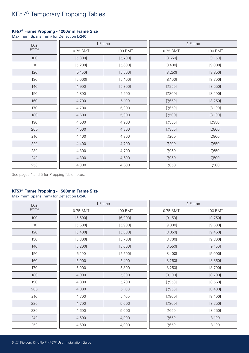## KF57® Temporary Propping Tables

### **KF57® Frame Propping - 1200mm Frame Size**

Maximum Spans (mm) for Deflection L/240

| Dcs  | 1 Frame  |          | 2 Frame  |          |  |  |
|------|----------|----------|----------|----------|--|--|
| (mm) | 0.75 BMT | 1.00 BMT | 0.75 BMT | 1.00 BMT |  |  |
| 100  | [5,300]  | [5,700]  | [8, 550] | [9, 150] |  |  |
| 110  | [5, 200] | [5,600]  | [8,400]  | [9,000]  |  |  |
| 120  | [5, 100] | [5,500]  | [8, 250] | [8,850]  |  |  |
| 130  | [5,000]  | [5,400]  | [8, 100] | [8,700]  |  |  |
| 140  | 4,900    | [5, 300] | [7,950]  | [8, 550] |  |  |
| 150  | 4,800    | 5,200    | [7,800]  | [8,400]  |  |  |
| 160  | 4,700    | 5,100    | [7,650]  | [8, 250] |  |  |
| 170  | 4,700    | 5,000    | [7,650]  | [8, 100] |  |  |
| 180  | 4,600    | 5,000    | [7,500]  | [8, 100] |  |  |
| 190  | 4,500    | 4,900    | [7,350]  | [7,950]  |  |  |
| 200  | 4,500    | 4,800    | [7,350]  | [7,800]  |  |  |
| 210  | 4,400    | 4,800    | 7,200    | [7,800]  |  |  |
| 220  | 4,400    | 4,700    | 7,200    | 7,650    |  |  |
| 230  | 4,300    | 4,700    | 7,050    | 7,650    |  |  |
| 240  | 4,300    | 4,600    | 7,050    | 7,500    |  |  |
| 250  | 4,300    | 4,600    | 7,050    | 7,500    |  |  |

See pages 4 and 5 for Propping Table notes.

### **KF57® Frame Propping - 1500mm Frame Size**

Maximum Spans (mm) for Deflection L/240

| Dcs  |          | 1 Frame  | 2 Frame  |          |  |  |
|------|----------|----------|----------|----------|--|--|
| (mm) | 0.75 BMT | 1.00 BMT | 0.75 BMT | 1.00 BMT |  |  |
| 100  | [5,600]  | [6,000]  | [9, 150] | [9,750]  |  |  |
| 110  | [5, 500] | [5,900]  | [9,000]  | [9,600]  |  |  |
| 120  | [5,400]  | [5,800]  | [8,850]  | [9,450]  |  |  |
| 130  | [5, 300] | [5,700]  | [8,700]  | [9,300]  |  |  |
| 140  | [5, 200] | [5,600]  | [8, 550] | [9, 150] |  |  |
| 150  | 5,100    | [5,500]  | [8,400]  | [9,000]  |  |  |
| 160  | 5,000    | 5,400    | [8, 250] | [8,850]  |  |  |
| 170  | 5,000    | 5,300    | [8, 250] | [8,700]  |  |  |
| 180  | 4,900    | 5,300    | [8, 100] | [8,700]  |  |  |
| 190  | 4,800    | 5,200    | [7,950]  | [8, 550] |  |  |
| 200  | 4,800    | 5,100    | [7,950]  | [8,400]  |  |  |
| 210  | 4,700    | 5,100    | [7,800]  | [8,400]  |  |  |
| 220  | 4,700    | 5,000    | [7,800]  | [8, 250] |  |  |
| 230  | 4,600    | 5,000    | 7,650    | [8, 250] |  |  |
| 240  | 4,600    | 4,900    | 7,650    | 8,100    |  |  |
| 250  | 4,600    | 4,900    | 7,650    | 8,100    |  |  |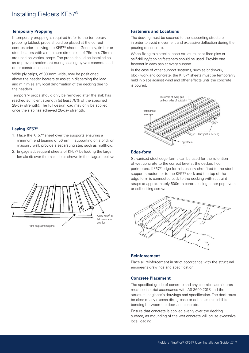#### **Temporary Propping**

If temporary propping is required (refer to the temporary propping tables), props should be placed at the correct centres prior to laying the KF57® sheets. Generally, timber or steel bearers with a minimum dimension of 75mm x 75mm are used on vertical props. The props should be installed so as to prevent settlement during loading by wet concrete and other construction loads.

Wide ply strips, of 300mm wide, may be positioned above the header bearers to assist in dispersing the load and minimise any local deformation of the decking due to the headers.

Temporary props should only be removed after the slab has reached sufficient strength (at least 75% of the specified 28-day strength). The full design load may only be applied once the slab has achieved 28-day strength.

#### **Laying KF57®**

- 1. Place the KF57® sheet over the supports ensuring a minimum end bearing of 50mm. If supporting on a brick or masonry wall, provide a separating strip such as malthoid.
- 2. Engage subsequent sheets of KF57® by locking the larger female rib over the male rib as shown in the diagram below.



#### **Fasteners and Locations**

The decking must be secured to the supporting structure in order to avoid movement and excessive deflection during the pouring of concrete.

When fixing to a steel support structure, shot fired pins or self-drilling/tapping fasteners should be used. Provide one fastener in each pan at every support.

In the case of other support systems, such as brickwork, block work and concrete, the KF57® sheets must be temporarily held in place against wind and other effects until the concrete is poured.



#### **Edge-form**

Galvanised steel edge-forms can be used for the retention of wet concrete to the correct level at the decked floor perimeters. KF57® edge-form is usually shot-fired to the steel support structure or to the KF57® deck and the top of the edge-form is connected back to the decking with restraint straps at approximately 600mm centres using either pop-rivets or self-drilling screws.



#### **Reinforcement**

Place all reinforcement in strict accordance with the structural engineer's drawings and specification.

#### **Concrete Placement**

The specified grade of concrete and any chemical admixtures must be in strict accordance with AS 3600:2018 and the structural engineer's drawings and specification. The deck must be clear of any excess dirt, grease or debris as this inhibits bonding between the deck and concrete.

Ensure that concrete is applied evenly over the decking surface, as mounding of the wet concrete will cause excessive local loading.